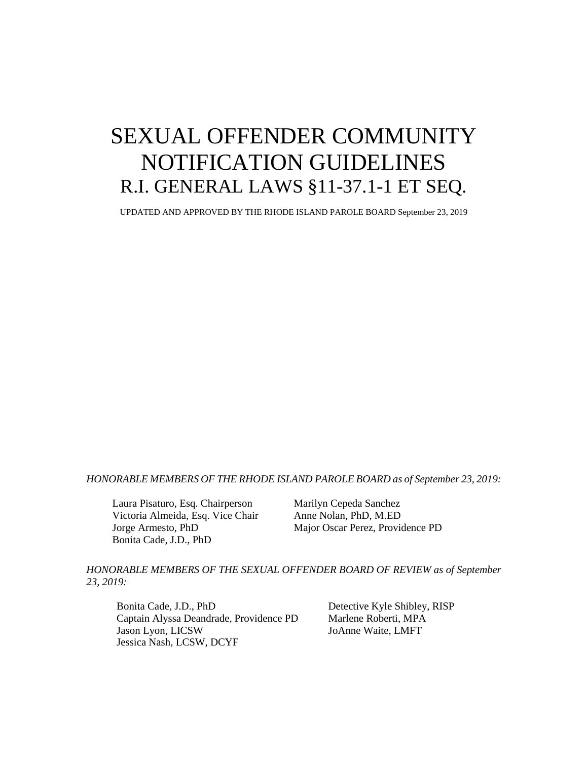# SEXUAL OFFENDER COMMUNITY NOTIFICATION GUIDELINES R.I. GENERAL LAWS §11-37.1-1 ET SEQ.

UPDATED AND APPROVED BY THE RHODE ISLAND PAROLE BOARD September 23, 2019

#### *HONORABLE MEMBERS OF THE RHODE ISLAND PAROLE BOARD as of September 23, 2019:*

Laura Pisaturo, Esq. Chairperson Marilyn Cepeda Sanchez Victoria Almeida, Esq. Vice Chair Anne Nolan, PhD, M.ED Bonita Cade, J.D., PhD

Jorge Armesto, PhD Major Oscar Perez, Providence PD

*HONORABLE MEMBERS OF THE SEXUAL OFFENDER BOARD OF REVIEW as of September 23, 2019:*

Bonita Cade, J.D., PhD Detective Kyle Shibley, RISP Captain Alyssa Deandrade, Providence PD Marlene Roberti, MPA Jason Lyon, LICSW JoAnne Waite, LMFT Jessica Nash, LCSW, DCYF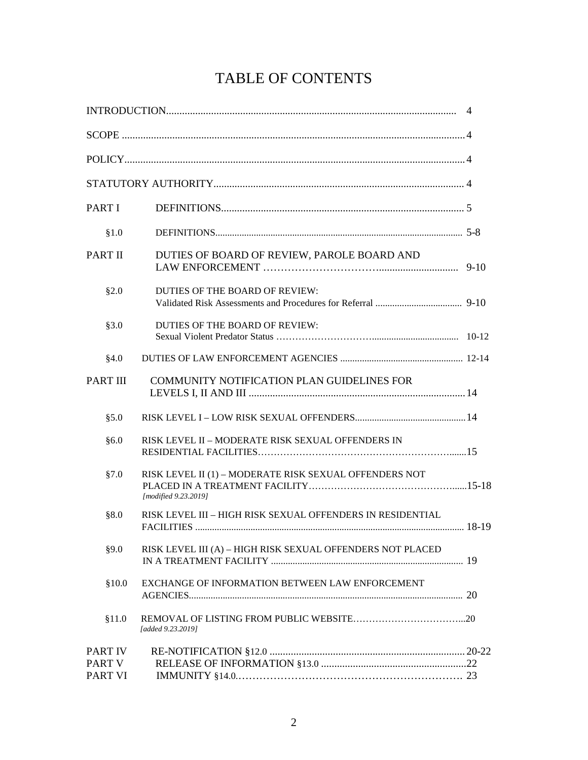## TABLE OF CONTENTS

| <b>PART I</b>                              |                                                                                |  |
|--------------------------------------------|--------------------------------------------------------------------------------|--|
| §1.0                                       |                                                                                |  |
| PART II                                    | DUTIES OF BOARD OF REVIEW, PAROLE BOARD AND                                    |  |
| \$2.0                                      | DUTIES OF THE BOARD OF REVIEW:                                                 |  |
| §3.0                                       | DUTIES OF THE BOARD OF REVIEW:                                                 |  |
| §4.0                                       |                                                                                |  |
| <b>PART III</b>                            | <b>COMMUNITY NOTIFICATION PLAN GUIDELINES FOR</b>                              |  |
| \$5.0                                      |                                                                                |  |
| §6.0                                       | RISK LEVEL II – MODERATE RISK SEXUAL OFFENDERS IN                              |  |
| §7.0                                       | RISK LEVEL II (1) - MODERATE RISK SEXUAL OFFENDERS NOT<br>[modified 9.23.2019] |  |
| §8.0                                       | RISK LEVEL III - HIGH RISK SEXUAL OFFENDERS IN RESIDENTIAL                     |  |
| §9.0                                       | RISK LEVEL III (A) - HIGH RISK SEXUAL OFFENDERS NOT PLACED                     |  |
| \$10.0                                     | EXCHANGE OF INFORMATION BETWEEN LAW ENFORCEMENT                                |  |
| \$11.0                                     | [added 9.23.2019]                                                              |  |
| <b>PART IV</b><br><b>PART V</b><br>PART VI |                                                                                |  |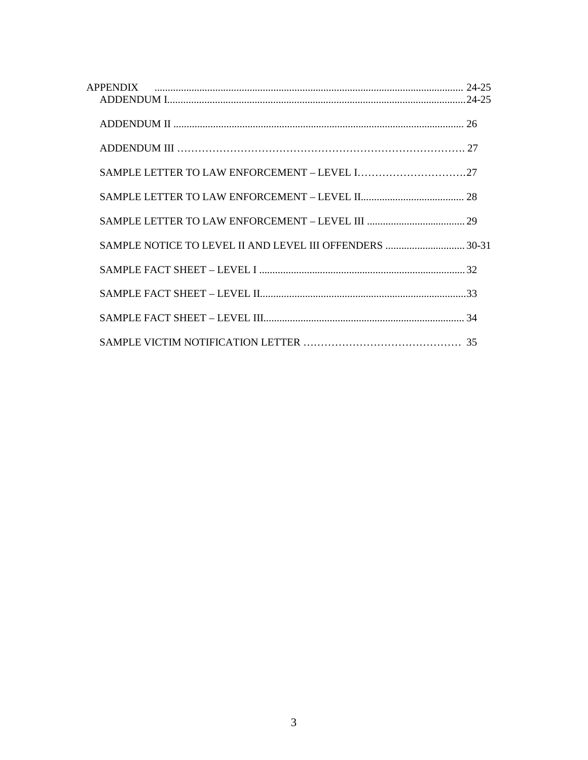| APPENDIX |  |
|----------|--|
|          |  |
|          |  |
|          |  |
|          |  |
|          |  |
|          |  |
|          |  |
|          |  |
|          |  |
|          |  |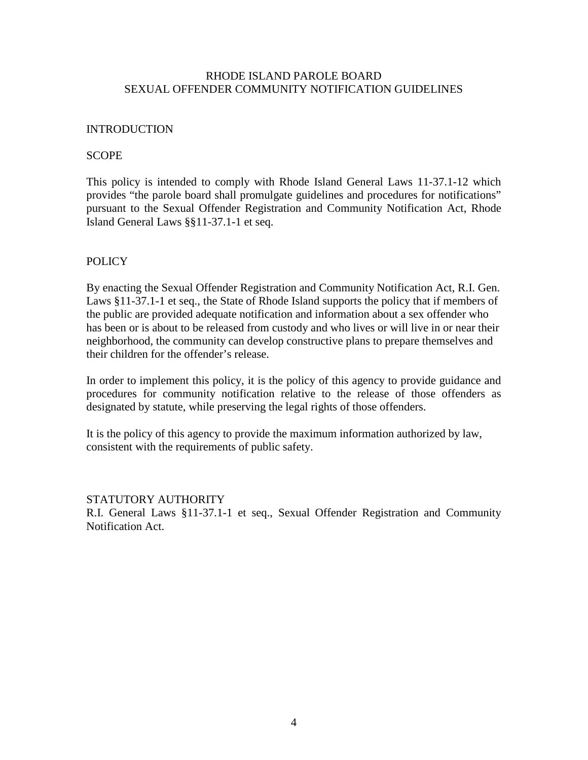## RHODE ISLAND PAROLE BOARD SEXUAL OFFENDER COMMUNITY NOTIFICATION GUIDELINES

## INTRODUCTION

## **SCOPE**

This policy is intended to comply with Rhode Island General Laws 11-37.1-12 which provides "the parole board shall promulgate guidelines and procedures for notifications" pursuant to the Sexual Offender Registration and Community Notification Act, Rhode Island General Laws §§11-37.1-1 et seq.

## POLICY

By enacting the Sexual Offender Registration and Community Notification Act, R.I. Gen. Laws §11-37.1-1 et seq., the State of Rhode Island supports the policy that if members of the public are provided adequate notification and information about a sex offender who has been or is about to be released from custody and who lives or will live in or near their neighborhood, the community can develop constructive plans to prepare themselves and their children for the offender's release.

In order to implement this policy, it is the policy of this agency to provide guidance and procedures for community notification relative to the release of those offenders as designated by statute, while preserving the legal rights of those offenders.

It is the policy of this agency to provide the maximum information authorized by law, consistent with the requirements of public safety.

#### STATUTORY AUTHORITY

R.I. General Laws §11-37.1-1 et seq., Sexual Offender Registration and Community Notification Act.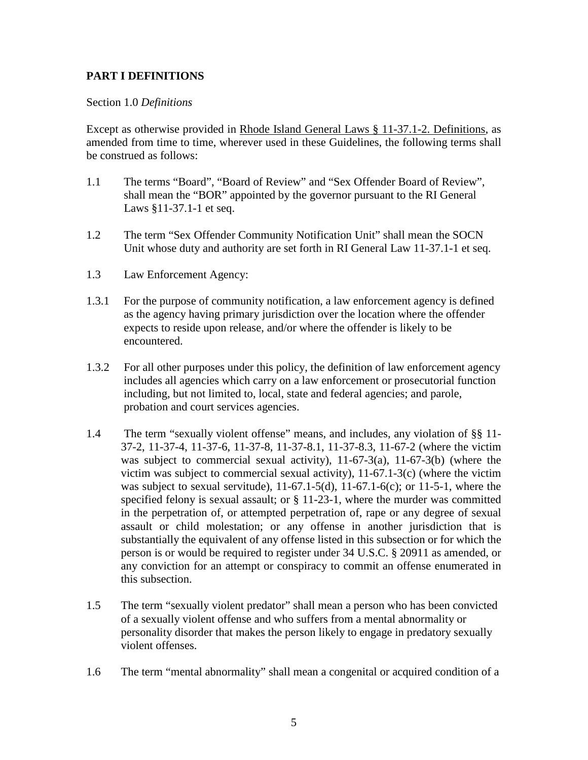## **PART I DEFINITIONS**

## Section 1.0 *Definitions*

Except as otherwise provided in Rhode Island General Laws § 11-37.1-2. Definitions, as amended from time to time, wherever used in these Guidelines, the following terms shall be construed as follows:

- 1.1 The terms "Board", "Board of Review" and "Sex Offender Board of Review", shall mean the "BOR" appointed by the governor pursuant to the RI General Laws §11-37.1-1 et seq.
- 1.2 The term "Sex Offender Community Notification Unit" shall mean the SOCN Unit whose duty and authority are set forth in RI General Law 11-37.1-1 et seq.
- 1.3 Law Enforcement Agency:
- 1.3.1 For the purpose of community notification, a law enforcement agency is defined as the agency having primary jurisdiction over the location where the offender expects to reside upon release, and/or where the offender is likely to be encountered.
- 1.3.2 For all other purposes under this policy, the definition of law enforcement agency includes all agencies which carry on a law enforcement or prosecutorial function including, but not limited to, local, state and federal agencies; and parole, probation and court services agencies.
- 1.4 The term "sexually violent offense" means, and includes, any violation of §§ 11- 37-2, 11-37-4, 11-37-6, 11-37-8, 11-37-8.1, 11-37-8.3, 11-67-2 (where the victim was subject to commercial sexual activity), 11-67-3(a), 11-67-3(b) (where the victim was subject to commercial sexual activity), 11-67.1-3(c) (where the victim was subject to sexual servitude),  $11-67.1-5(d)$ ,  $11-67.1-6(c)$ ; or  $11-5-1$ , where the specified felony is sexual assault; or § 11-23-1, where the murder was committed in the perpetration of, or attempted perpetration of, rape or any degree of sexual assault or child molestation; or any offense in another jurisdiction that is substantially the equivalent of any offense listed in this subsection or for which the person is or would be required to register under 34 U.S.C. § 20911 as amended, or any conviction for an attempt or conspiracy to commit an offense enumerated in this subsection.
- 1.5 The term "sexually violent predator" shall mean a person who has been convicted of a sexually violent offense and who suffers from a mental abnormality or personality disorder that makes the person likely to engage in predatory sexually violent offenses.
- 1.6 The term "mental abnormality" shall mean a congenital or acquired condition of a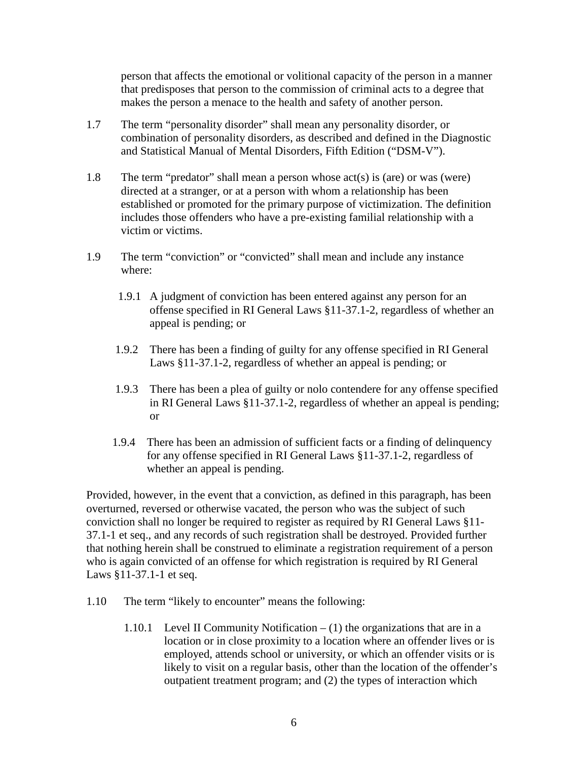person that affects the emotional or volitional capacity of the person in a manner that predisposes that person to the commission of criminal acts to a degree that makes the person a menace to the health and safety of another person.

- 1.7 The term "personality disorder" shall mean any personality disorder, or combination of personality disorders, as described and defined in the Diagnostic and Statistical Manual of Mental Disorders, Fifth Edition ("DSM-V").
- 1.8 The term "predator" shall mean a person whose act(s) is (are) or was (were) directed at a stranger, or at a person with whom a relationship has been established or promoted for the primary purpose of victimization. The definition includes those offenders who have a pre-existing familial relationship with a victim or victims.
- 1.9 The term "conviction" or "convicted" shall mean and include any instance where:
	- 1.9.1 A judgment of conviction has been entered against any person for an offense specified in RI General Laws §11-37.1-2, regardless of whether an appeal is pending; or
	- 1.9.2 There has been a finding of guilty for any offense specified in RI General Laws §11-37.1-2, regardless of whether an appeal is pending; or
	- 1.9.3 There has been a plea of guilty or nolo contendere for any offense specified in RI General Laws §11-37.1-2, regardless of whether an appeal is pending; or
	- 1.9.4 There has been an admission of sufficient facts or a finding of delinquency for any offense specified in RI General Laws §11-37.1-2, regardless of whether an appeal is pending.

Provided, however, in the event that a conviction, as defined in this paragraph, has been overturned, reversed or otherwise vacated, the person who was the subject of such conviction shall no longer be required to register as required by RI General Laws §11- 37.1-1 et seq., and any records of such registration shall be destroyed. Provided further that nothing herein shall be construed to eliminate a registration requirement of a person who is again convicted of an offense for which registration is required by RI General Laws §11-37.1-1 et seq.

- 1.10 The term "likely to encounter" means the following:
	- 1.10.1 Level II Community Notification  $(1)$  the organizations that are in a location or in close proximity to a location where an offender lives or is employed, attends school or university, or which an offender visits or is likely to visit on a regular basis, other than the location of the offender's outpatient treatment program; and (2) the types of interaction which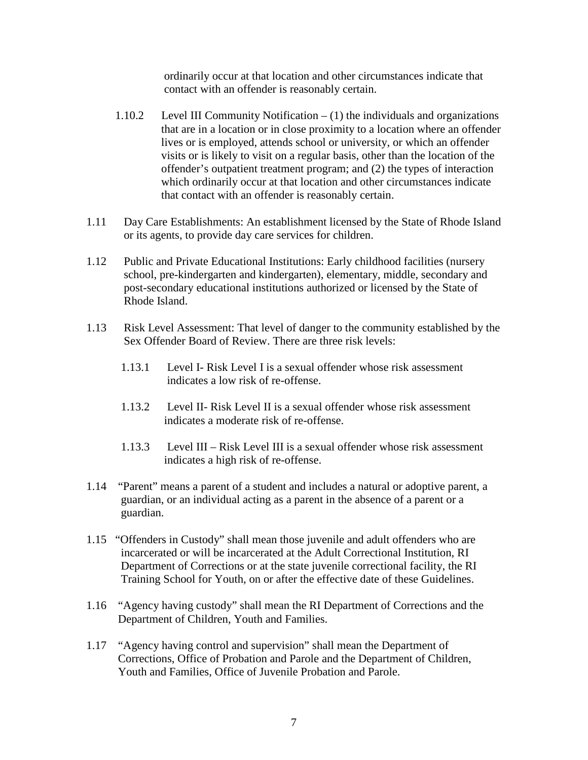ordinarily occur at that location and other circumstances indicate that contact with an offender is reasonably certain.

- 1.10.2 Level III Community Notification (1) the individuals and organizations that are in a location or in close proximity to a location where an offender lives or is employed, attends school or university, or which an offender visits or is likely to visit on a regular basis, other than the location of the offender's outpatient treatment program; and (2) the types of interaction which ordinarily occur at that location and other circumstances indicate that contact with an offender is reasonably certain.
- 1.11 Day Care Establishments: An establishment licensed by the State of Rhode Island or its agents, to provide day care services for children.
- 1.12 Public and Private Educational Institutions: Early childhood facilities (nursery school, pre-kindergarten and kindergarten), elementary, middle, secondary and post-secondary educational institutions authorized or licensed by the State of Rhode Island.
- 1.13 Risk Level Assessment: That level of danger to the community established by the Sex Offender Board of Review. There are three risk levels:
	- 1.13.1 Level I- Risk Level I is a sexual offender whose risk assessment indicates a low risk of re-offense.
	- 1.13.2 Level II- Risk Level II is a sexual offender whose risk assessment indicates a moderate risk of re-offense.
	- 1.13.3 Level III Risk Level III is a sexual offender whose risk assessment indicates a high risk of re-offense.
- 1.14 "Parent" means a parent of a student and includes a natural or adoptive parent, a guardian, or an individual acting as a parent in the absence of a parent or a guardian.
- 1.15 "Offenders in Custody" shall mean those juvenile and adult offenders who are incarcerated or will be incarcerated at the Adult Correctional Institution, RI Department of Corrections or at the state juvenile correctional facility, the RI Training School for Youth, on or after the effective date of these Guidelines.
- 1.16 "Agency having custody" shall mean the RI Department of Corrections and the Department of Children, Youth and Families.
- 1.17 "Agency having control and supervision" shall mean the Department of Corrections, Office of Probation and Parole and the Department of Children, Youth and Families, Office of Juvenile Probation and Parole.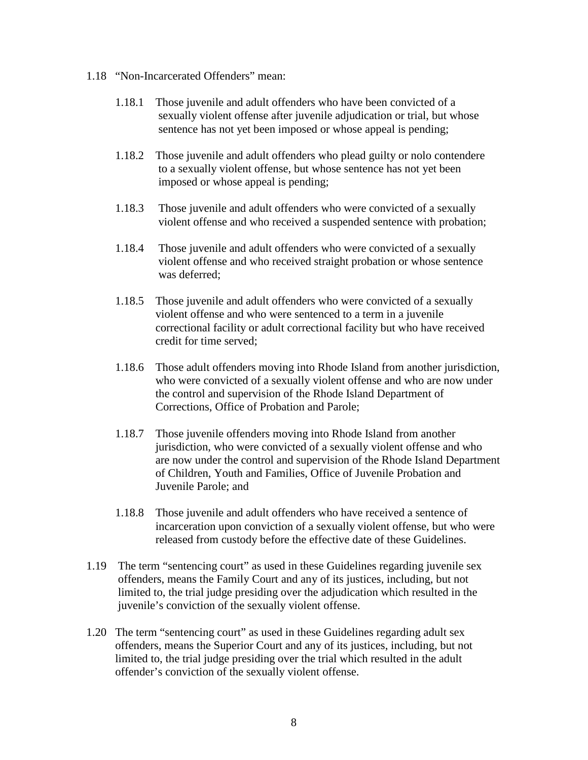- 1.18 "Non-Incarcerated Offenders" mean:
	- 1.18.1 Those juvenile and adult offenders who have been convicted of a sexually violent offense after juvenile adjudication or trial, but whose sentence has not yet been imposed or whose appeal is pending;
	- 1.18.2 Those juvenile and adult offenders who plead guilty or nolo contendere to a sexually violent offense, but whose sentence has not yet been imposed or whose appeal is pending;
	- 1.18.3 Those juvenile and adult offenders who were convicted of a sexually violent offense and who received a suspended sentence with probation;
	- 1.18.4 Those juvenile and adult offenders who were convicted of a sexually violent offense and who received straight probation or whose sentence was deferred;
	- 1.18.5 Those juvenile and adult offenders who were convicted of a sexually violent offense and who were sentenced to a term in a juvenile correctional facility or adult correctional facility but who have received credit for time served;
	- 1.18.6 Those adult offenders moving into Rhode Island from another jurisdiction, who were convicted of a sexually violent offense and who are now under the control and supervision of the Rhode Island Department of Corrections, Office of Probation and Parole;
	- 1.18.7 Those juvenile offenders moving into Rhode Island from another jurisdiction, who were convicted of a sexually violent offense and who are now under the control and supervision of the Rhode Island Department of Children, Youth and Families, Office of Juvenile Probation and Juvenile Parole; and
	- 1.18.8 Those juvenile and adult offenders who have received a sentence of incarceration upon conviction of a sexually violent offense, but who were released from custody before the effective date of these Guidelines.
- 1.19 The term "sentencing court" as used in these Guidelines regarding juvenile sex offenders, means the Family Court and any of its justices, including, but not limited to, the trial judge presiding over the adjudication which resulted in the juvenile's conviction of the sexually violent offense.
- 1.20 The term "sentencing court" as used in these Guidelines regarding adult sex offenders, means the Superior Court and any of its justices, including, but not limited to, the trial judge presiding over the trial which resulted in the adult offender's conviction of the sexually violent offense.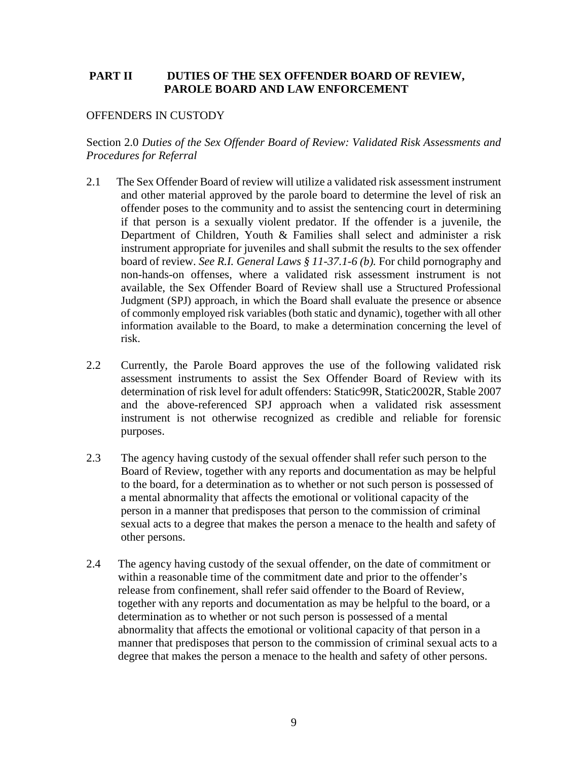## **PART II DUTIES OF THE SEX OFFENDER BOARD OF REVIEW, PAROLE BOARD AND LAW ENFORCEMENT**

## OFFENDERS IN CUSTODY

## Section 2.0 *Duties of the Sex Offender Board of Review: Validated Risk Assessments and Procedures for Referral*

- 2.1 The Sex Offender Board of review will utilize a validated risk assessment instrument and other material approved by the parole board to determine the level of risk an offender poses to the community and to assist the sentencing court in determining if that person is a sexually violent predator. If the offender is a juvenile, the Department of Children, Youth & Families shall select and administer a risk instrument appropriate for juveniles and shall submit the results to the sex offender board of review. *See R.I. General Laws § 11-37.1-6 (b).* For child pornography and non-hands-on offenses, where a validated risk assessment instrument is not available, the Sex Offender Board of Review shall use a Structured Professional Judgment (SPJ) approach, in which the Board shall evaluate the presence or absence of commonly employed risk variables (both static and dynamic), together with all other information available to the Board, to make a determination concerning the level of risk.
- 2.2 Currently, the Parole Board approves the use of the following validated risk assessment instruments to assist the Sex Offender Board of Review with its determination of risk level for adult offenders: Static99R, Static2002R, Stable 2007 and the above-referenced SPJ approach when a validated risk assessment instrument is not otherwise recognized as credible and reliable for forensic purposes.
- 2.3 The agency having custody of the sexual offender shall refer such person to the Board of Review, together with any reports and documentation as may be helpful to the board, for a determination as to whether or not such person is possessed of a mental abnormality that affects the emotional or volitional capacity of the person in a manner that predisposes that person to the commission of criminal sexual acts to a degree that makes the person a menace to the health and safety of other persons.
- 2.4 The agency having custody of the sexual offender, on the date of commitment or within a reasonable time of the commitment date and prior to the offender's release from confinement, shall refer said offender to the Board of Review, together with any reports and documentation as may be helpful to the board, or a determination as to whether or not such person is possessed of a mental abnormality that affects the emotional or volitional capacity of that person in a manner that predisposes that person to the commission of criminal sexual acts to a degree that makes the person a menace to the health and safety of other persons.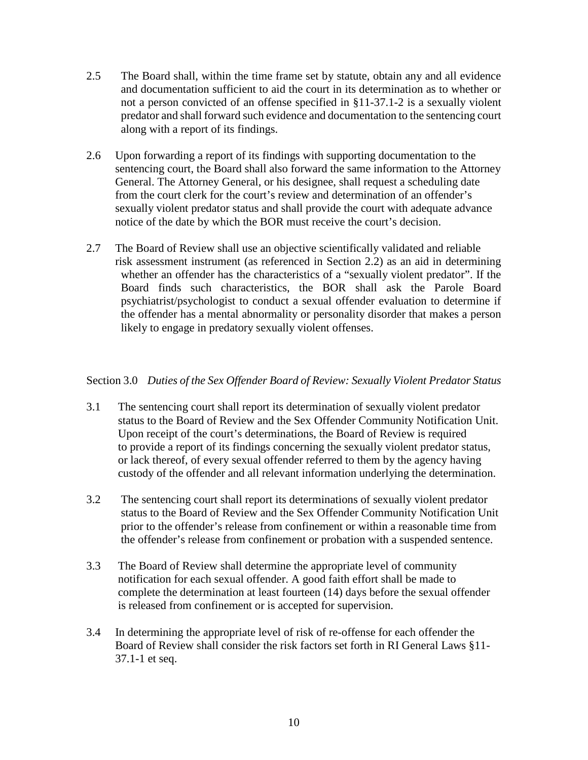- 2.5 The Board shall, within the time frame set by statute, obtain any and all evidence and documentation sufficient to aid the court in its determination as to whether or not a person convicted of an offense specified in §11-37.1-2 is a sexually violent predator and shall forward such evidence and documentation to the sentencing court along with a report of its findings.
- 2.6 Upon forwarding a report of its findings with supporting documentation to the sentencing court, the Board shall also forward the same information to the Attorney General. The Attorney General, or his designee, shall request a scheduling date from the court clerk for the court's review and determination of an offender's sexually violent predator status and shall provide the court with adequate advance notice of the date by which the BOR must receive the court's decision.
- 2.7 The Board of Review shall use an objective scientifically validated and reliable risk assessment instrument (as referenced in Section 2.2) as an aid in determining whether an offender has the characteristics of a "sexually violent predator". If the Board finds such characteristics, the BOR shall ask the Parole Board psychiatrist/psychologist to conduct a sexual offender evaluation to determine if the offender has a mental abnormality or personality disorder that makes a person likely to engage in predatory sexually violent offenses.

## Section 3.0 *Duties of the Sex Offender Board of Review: Sexually Violent Predator Status*

- 3.1 The sentencing court shall report its determination of sexually violent predator status to the Board of Review and the Sex Offender Community Notification Unit. Upon receipt of the court's determinations, the Board of Review is required to provide a report of its findings concerning the sexually violent predator status, or lack thereof, of every sexual offender referred to them by the agency having custody of the offender and all relevant information underlying the determination.
- 3.2 The sentencing court shall report its determinations of sexually violent predator status to the Board of Review and the Sex Offender Community Notification Unit prior to the offender's release from confinement or within a reasonable time from the offender's release from confinement or probation with a suspended sentence.
- 3.3 The Board of Review shall determine the appropriate level of community notification for each sexual offender. A good faith effort shall be made to complete the determination at least fourteen (14) days before the sexual offender is released from confinement or is accepted for supervision.
- 3.4 In determining the appropriate level of risk of re-offense for each offender the Board of Review shall consider the risk factors set forth in RI General Laws §11- 37.1-1 et seq.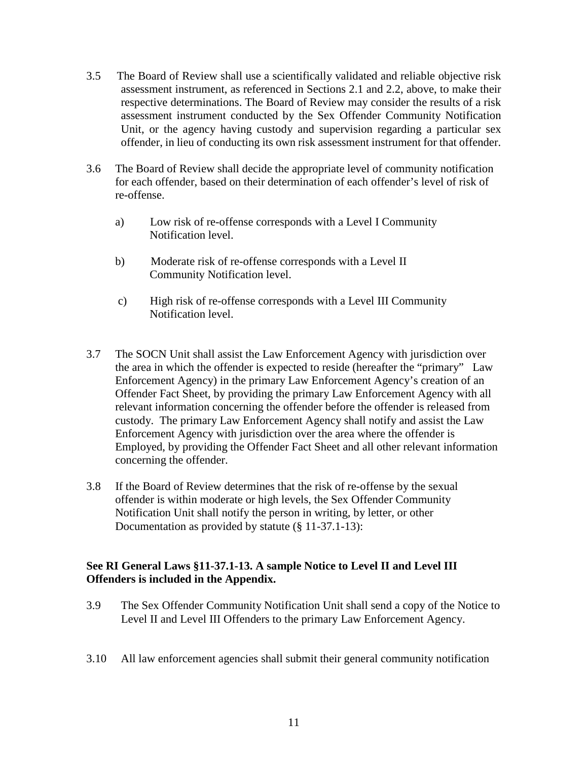- 3.5 The Board of Review shall use a scientifically validated and reliable objective risk assessment instrument, as referenced in Sections 2.1 and 2.2, above, to make their respective determinations. The Board of Review may consider the results of a risk assessment instrument conducted by the Sex Offender Community Notification Unit, or the agency having custody and supervision regarding a particular sex offender, in lieu of conducting its own risk assessment instrument for that offender.
- 3.6 The Board of Review shall decide the appropriate level of community notification for each offender, based on their determination of each offender's level of risk of re-offense.
	- a) Low risk of re-offense corresponds with a Level I Community Notification level.
	- b) Moderate risk of re-offense corresponds with a Level II Community Notification level.
	- c) High risk of re-offense corresponds with a Level III Community Notification level.
- 3.7 The SOCN Unit shall assist the Law Enforcement Agency with jurisdiction over the area in which the offender is expected to reside (hereafter the "primary" Law Enforcement Agency) in the primary Law Enforcement Agency's creation of an Offender Fact Sheet, by providing the primary Law Enforcement Agency with all relevant information concerning the offender before the offender is released from custody. The primary Law Enforcement Agency shall notify and assist the Law Enforcement Agency with jurisdiction over the area where the offender is Employed, by providing the Offender Fact Sheet and all other relevant information concerning the offender.
- 3.8 If the Board of Review determines that the risk of re-offense by the sexual offender is within moderate or high levels, the Sex Offender Community Notification Unit shall notify the person in writing, by letter, or other Documentation as provided by statute (§ 11-37.1-13):

## **See RI General Laws §11-37.1-13. A sample Notice to Level II and Level III Offenders is included in the Appendix.**

- 3.9 The Sex Offender Community Notification Unit shall send a copy of the Notice to Level II and Level III Offenders to the primary Law Enforcement Agency.
- 3.10 All law enforcement agencies shall submit their general community notification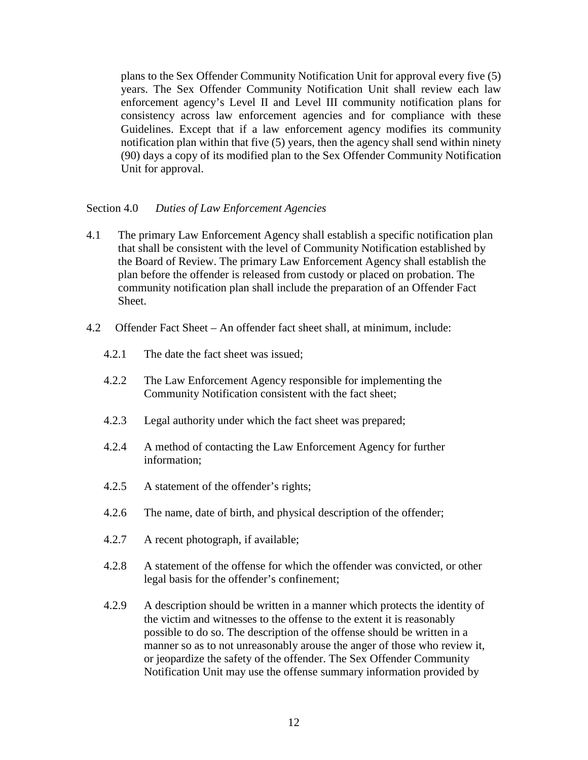plans to the Sex Offender Community Notification Unit for approval every five (5) years. The Sex Offender Community Notification Unit shall review each law enforcement agency's Level II and Level III community notification plans for consistency across law enforcement agencies and for compliance with these Guidelines. Except that if a law enforcement agency modifies its community notification plan within that five (5) years, then the agency shall send within ninety (90) days a copy of its modified plan to the Sex Offender Community Notification Unit for approval.

## Section 4.0 *Duties of Law Enforcement Agencies*

- 4.1 The primary Law Enforcement Agency shall establish a specific notification plan that shall be consistent with the level of Community Notification established by the Board of Review. The primary Law Enforcement Agency shall establish the plan before the offender is released from custody or placed on probation. The community notification plan shall include the preparation of an Offender Fact Sheet.
- 4.2 Offender Fact Sheet An offender fact sheet shall, at minimum, include:
	- 4.2.1 The date the fact sheet was issued;
	- 4.2.2 The Law Enforcement Agency responsible for implementing the Community Notification consistent with the fact sheet;
	- 4.2.3 Legal authority under which the fact sheet was prepared;
	- 4.2.4 A method of contacting the Law Enforcement Agency for further information;
	- 4.2.5 A statement of the offender's rights;
	- 4.2.6 The name, date of birth, and physical description of the offender;
	- 4.2.7 A recent photograph, if available;
	- 4.2.8 A statement of the offense for which the offender was convicted, or other legal basis for the offender's confinement;
	- 4.2.9 A description should be written in a manner which protects the identity of the victim and witnesses to the offense to the extent it is reasonably possible to do so. The description of the offense should be written in a manner so as to not unreasonably arouse the anger of those who review it, or jeopardize the safety of the offender. The Sex Offender Community Notification Unit may use the offense summary information provided by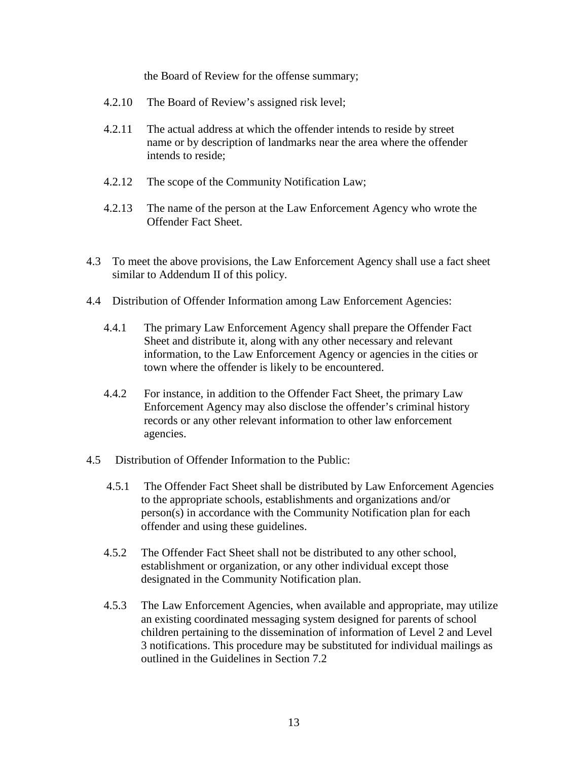the Board of Review for the offense summary;

- 4.2.10 The Board of Review's assigned risk level;
- 4.2.11 The actual address at which the offender intends to reside by street name or by description of landmarks near the area where the offender intends to reside;
- 4.2.12 The scope of the Community Notification Law;
- 4.2.13 The name of the person at the Law Enforcement Agency who wrote the Offender Fact Sheet.
- 4.3 To meet the above provisions, the Law Enforcement Agency shall use a fact sheet similar to Addendum II of this policy.
- 4.4 Distribution of Offender Information among Law Enforcement Agencies:
	- 4.4.1 The primary Law Enforcement Agency shall prepare the Offender Fact Sheet and distribute it, along with any other necessary and relevant information, to the Law Enforcement Agency or agencies in the cities or town where the offender is likely to be encountered.
	- 4.4.2 For instance, in addition to the Offender Fact Sheet, the primary Law Enforcement Agency may also disclose the offender's criminal history records or any other relevant information to other law enforcement agencies.
- 4.5 Distribution of Offender Information to the Public:
	- 4.5.1 The Offender Fact Sheet shall be distributed by Law Enforcement Agencies to the appropriate schools, establishments and organizations and/or person(s) in accordance with the Community Notification plan for each offender and using these guidelines.
	- 4.5.2 The Offender Fact Sheet shall not be distributed to any other school, establishment or organization, or any other individual except those designated in the Community Notification plan.
	- 4.5.3 The Law Enforcement Agencies, when available and appropriate, may utilize an existing coordinated messaging system designed for parents of school children pertaining to the dissemination of information of Level 2 and Level 3 notifications. This procedure may be substituted for individual mailings as outlined in the Guidelines in Section 7.2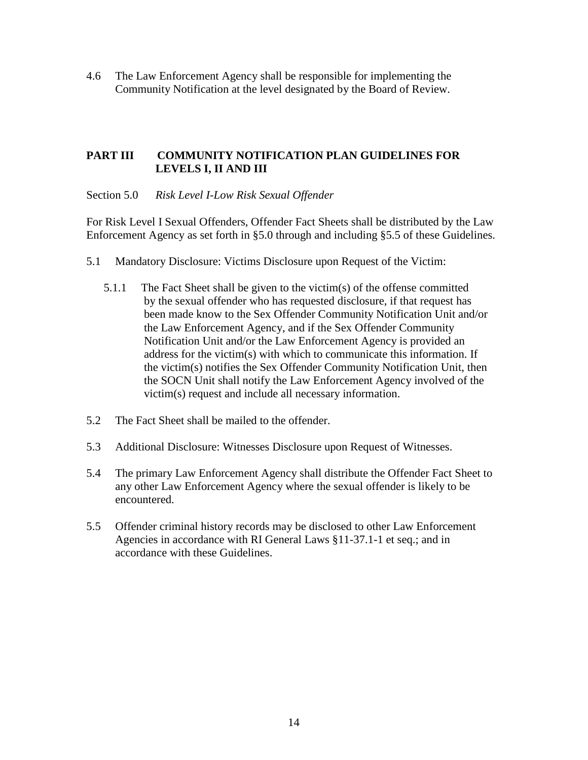4.6 The Law Enforcement Agency shall be responsible for implementing the Community Notification at the level designated by the Board of Review.

## **PART III COMMUNITY NOTIFICATION PLAN GUIDELINES FOR LEVELS I, II AND III**

## Section 5.0 *Risk Level I-Low Risk Sexual Offender*

For Risk Level I Sexual Offenders, Offender Fact Sheets shall be distributed by the Law Enforcement Agency as set forth in §5.0 through and including §5.5 of these Guidelines.

- 5.1 Mandatory Disclosure: Victims Disclosure upon Request of the Victim:
	- 5.1.1 The Fact Sheet shall be given to the victim(s) of the offense committed by the sexual offender who has requested disclosure, if that request has been made know to the Sex Offender Community Notification Unit and/or the Law Enforcement Agency, and if the Sex Offender Community Notification Unit and/or the Law Enforcement Agency is provided an address for the victim(s) with which to communicate this information. If the victim(s) notifies the Sex Offender Community Notification Unit, then the SOCN Unit shall notify the Law Enforcement Agency involved of the victim(s) request and include all necessary information.
- 5.2 The Fact Sheet shall be mailed to the offender.
- 5.3 Additional Disclosure: Witnesses Disclosure upon Request of Witnesses.
- 5.4 The primary Law Enforcement Agency shall distribute the Offender Fact Sheet to any other Law Enforcement Agency where the sexual offender is likely to be encountered.
- 5.5 Offender criminal history records may be disclosed to other Law Enforcement Agencies in accordance with RI General Laws §11-37.1-1 et seq.; and in accordance with these Guidelines.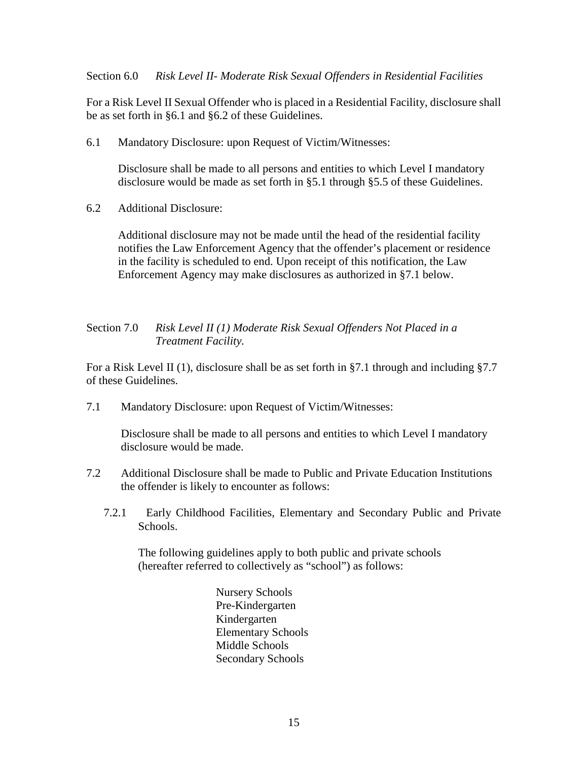Section 6.0 *Risk Level II- Moderate Risk Sexual Offenders in Residential Facilities*

For a Risk Level II Sexual Offender who is placed in a Residential Facility, disclosure shall be as set forth in §6.1 and §6.2 of these Guidelines.

6.1 Mandatory Disclosure: upon Request of Victim/Witnesses:

 Disclosure shall be made to all persons and entities to which Level I mandatory disclosure would be made as set forth in §5.1 through §5.5 of these Guidelines.

6.2 Additional Disclosure:

 Additional disclosure may not be made until the head of the residential facility notifies the Law Enforcement Agency that the offender's placement or residence in the facility is scheduled to end. Upon receipt of this notification, the Law Enforcement Agency may make disclosures as authorized in §7.1 below.

## Section 7.0 *Risk Level II (1) Moderate Risk Sexual Offenders Not Placed in a Treatment Facility.*

For a Risk Level II (1), disclosure shall be as set forth in §7.1 through and including §7.7 of these Guidelines.

7.1 Mandatory Disclosure: upon Request of Victim/Witnesses:

 Disclosure shall be made to all persons and entities to which Level I mandatory disclosure would be made.

- 7.2 Additional Disclosure shall be made to Public and Private Education Institutions the offender is likely to encounter as follows:
	- 7.2.1 Early Childhood Facilities, Elementary and Secondary Public and Private Schools.

 The following guidelines apply to both public and private schools (hereafter referred to collectively as "school") as follows:

> Nursery Schools Pre-Kindergarten Kindergarten Elementary Schools Middle Schools Secondary Schools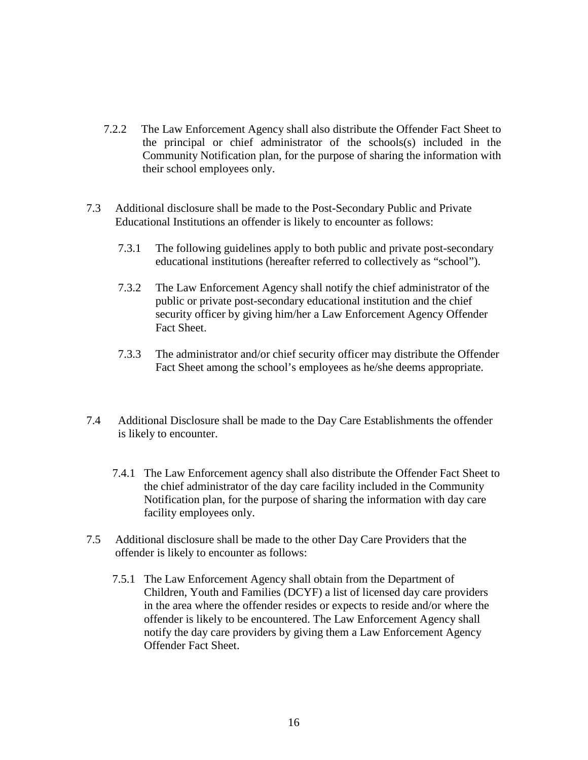- 7.2.2 The Law Enforcement Agency shall also distribute the Offender Fact Sheet to the principal or chief administrator of the schools(s) included in the Community Notification plan, for the purpose of sharing the information with their school employees only.
- 7.3 Additional disclosure shall be made to the Post-Secondary Public and Private Educational Institutions an offender is likely to encounter as follows:
	- 7.3.1 The following guidelines apply to both public and private post-secondary educational institutions (hereafter referred to collectively as "school").
	- 7.3.2 The Law Enforcement Agency shall notify the chief administrator of the public or private post-secondary educational institution and the chief security officer by giving him/her a Law Enforcement Agency Offender Fact Sheet.
	- 7.3.3 The administrator and/or chief security officer may distribute the Offender Fact Sheet among the school's employees as he/she deems appropriate.
- 7.4 Additional Disclosure shall be made to the Day Care Establishments the offender is likely to encounter.
	- 7.4.1 The Law Enforcement agency shall also distribute the Offender Fact Sheet to the chief administrator of the day care facility included in the Community Notification plan, for the purpose of sharing the information with day care facility employees only.
- 7.5 Additional disclosure shall be made to the other Day Care Providers that the offender is likely to encounter as follows:
	- 7.5.1 The Law Enforcement Agency shall obtain from the Department of Children, Youth and Families (DCYF) a list of licensed day care providers in the area where the offender resides or expects to reside and/or where the offender is likely to be encountered. The Law Enforcement Agency shall notify the day care providers by giving them a Law Enforcement Agency Offender Fact Sheet.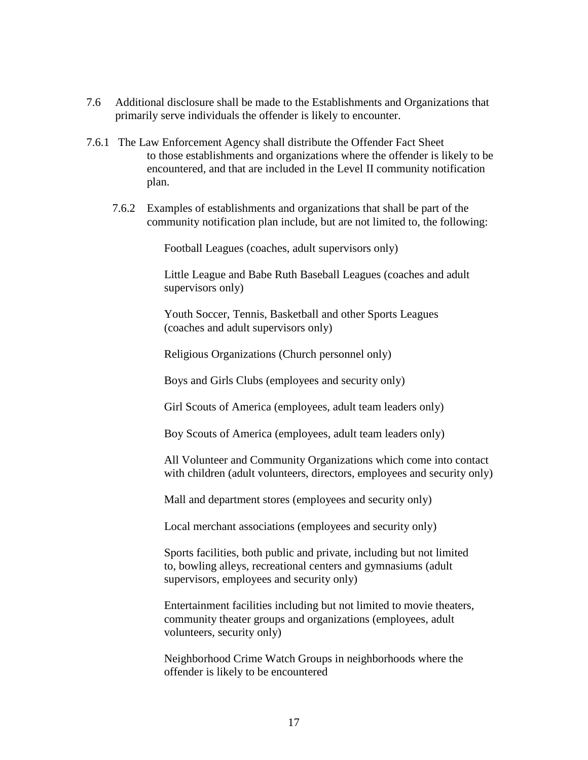- 7.6 Additional disclosure shall be made to the Establishments and Organizations that primarily serve individuals the offender is likely to encounter.
- 7.6.1 The Law Enforcement Agency shall distribute the Offender Fact Sheet to those establishments and organizations where the offender is likely to be encountered, and that are included in the Level II community notification plan.
	- 7.6.2 Examples of establishments and organizations that shall be part of the community notification plan include, but are not limited to, the following:

Football Leagues (coaches, adult supervisors only)

 Little League and Babe Ruth Baseball Leagues (coaches and adult supervisors only)

 Youth Soccer, Tennis, Basketball and other Sports Leagues (coaches and adult supervisors only)

Religious Organizations (Church personnel only)

Boys and Girls Clubs (employees and security only)

Girl Scouts of America (employees, adult team leaders only)

Boy Scouts of America (employees, adult team leaders only)

 All Volunteer and Community Organizations which come into contact with children (adult volunteers, directors, employees and security only)

Mall and department stores (employees and security only)

Local merchant associations (employees and security only)

 Sports facilities, both public and private, including but not limited to, bowling alleys, recreational centers and gymnasiums (adult supervisors, employees and security only)

 Entertainment facilities including but not limited to movie theaters, community theater groups and organizations (employees, adult volunteers, security only)

 Neighborhood Crime Watch Groups in neighborhoods where the offender is likely to be encountered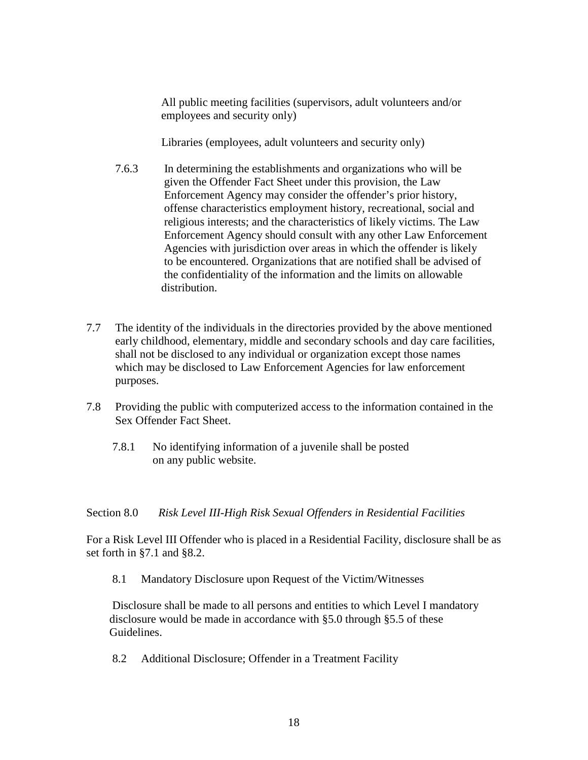All public meeting facilities (supervisors, adult volunteers and/or employees and security only)

Libraries (employees, adult volunteers and security only)

- 7.6.3 In determining the establishments and organizations who will be given the Offender Fact Sheet under this provision, the Law Enforcement Agency may consider the offender's prior history, offense characteristics employment history, recreational, social and religious interests; and the characteristics of likely victims. The Law Enforcement Agency should consult with any other Law Enforcement Agencies with jurisdiction over areas in which the offender is likely to be encountered. Organizations that are notified shall be advised of the confidentiality of the information and the limits on allowable distribution.
- 7.7 The identity of the individuals in the directories provided by the above mentioned early childhood, elementary, middle and secondary schools and day care facilities, shall not be disclosed to any individual or organization except those names which may be disclosed to Law Enforcement Agencies for law enforcement purposes.
- 7.8 Providing the public with computerized access to the information contained in the Sex Offender Fact Sheet.
	- 7.8.1 No identifying information of a juvenile shall be posted on any public website.

Section 8.0 *Risk Level III-High Risk Sexual Offenders in Residential Facilities*

For a Risk Level III Offender who is placed in a Residential Facility, disclosure shall be as set forth in §7.1 and §8.2.

8.1 Mandatory Disclosure upon Request of the Victim/Witnesses

 Disclosure shall be made to all persons and entities to which Level I mandatory disclosure would be made in accordance with §5.0 through §5.5 of these Guidelines.

8.2 Additional Disclosure; Offender in a Treatment Facility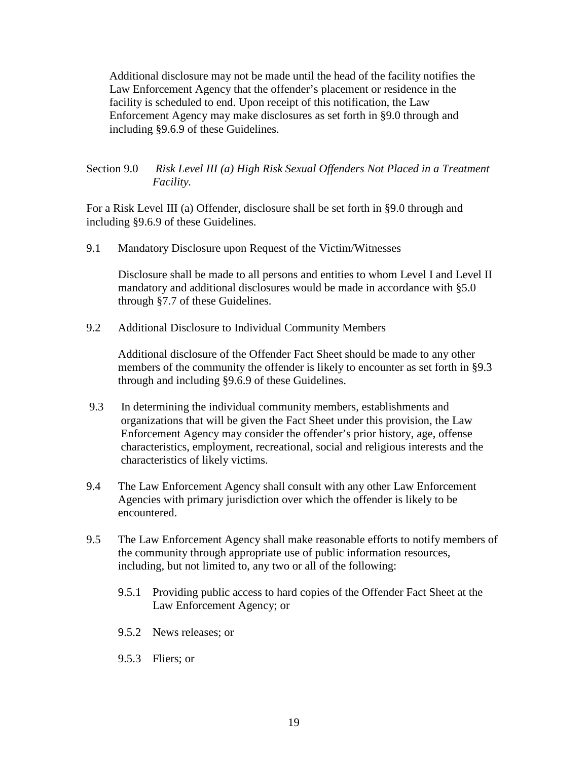Additional disclosure may not be made until the head of the facility notifies the Law Enforcement Agency that the offender's placement or residence in the facility is scheduled to end. Upon receipt of this notification, the Law Enforcement Agency may make disclosures as set forth in §9.0 through and including §9.6.9 of these Guidelines.

## Section 9.0 *Risk Level III (a) High Risk Sexual Offenders Not Placed in a Treatment Facility.*

For a Risk Level III (a) Offender, disclosure shall be set forth in §9.0 through and including §9.6.9 of these Guidelines.

9.1 Mandatory Disclosure upon Request of the Victim/Witnesses

 Disclosure shall be made to all persons and entities to whom Level I and Level II mandatory and additional disclosures would be made in accordance with §5.0 through §7.7 of these Guidelines.

9.2 Additional Disclosure to Individual Community Members

 Additional disclosure of the Offender Fact Sheet should be made to any other members of the community the offender is likely to encounter as set forth in §9.3 through and including §9.6.9 of these Guidelines.

- 9.3 In determining the individual community members, establishments and organizations that will be given the Fact Sheet under this provision, the Law Enforcement Agency may consider the offender's prior history, age, offense characteristics, employment, recreational, social and religious interests and the characteristics of likely victims.
- 9.4 The Law Enforcement Agency shall consult with any other Law Enforcement Agencies with primary jurisdiction over which the offender is likely to be encountered.
- 9.5 The Law Enforcement Agency shall make reasonable efforts to notify members of the community through appropriate use of public information resources, including, but not limited to, any two or all of the following:
	- 9.5.1 Providing public access to hard copies of the Offender Fact Sheet at the Law Enforcement Agency; or
	- 9.5.2 News releases; or
	- 9.5.3 Fliers; or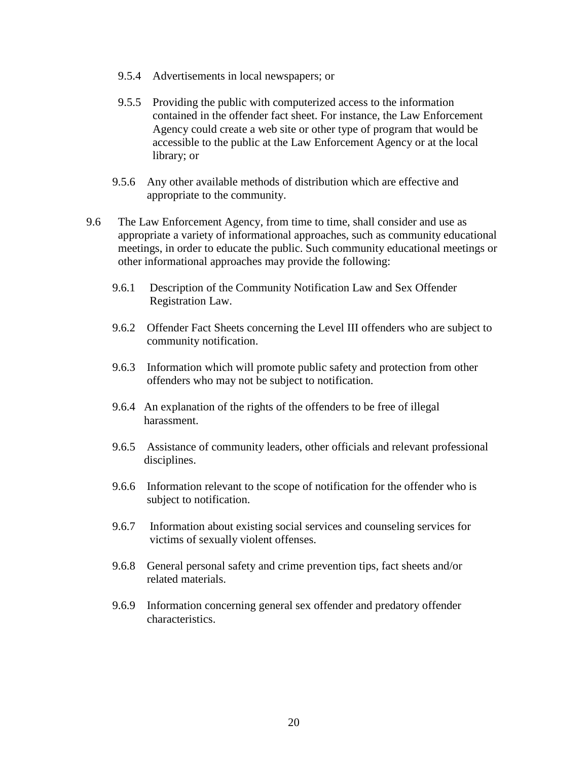- 9.5.4 Advertisements in local newspapers; or
- 9.5.5 Providing the public with computerized access to the information contained in the offender fact sheet. For instance, the Law Enforcement Agency could create a web site or other type of program that would be accessible to the public at the Law Enforcement Agency or at the local library; or
- 9.5.6 Any other available methods of distribution which are effective and appropriate to the community.
- 9.6 The Law Enforcement Agency, from time to time, shall consider and use as appropriate a variety of informational approaches, such as community educational meetings, in order to educate the public. Such community educational meetings or other informational approaches may provide the following:
	- 9.6.1 Description of the Community Notification Law and Sex Offender Registration Law.
	- 9.6.2 Offender Fact Sheets concerning the Level III offenders who are subject to community notification.
	- 9.6.3 Information which will promote public safety and protection from other offenders who may not be subject to notification.
	- 9.6.4 An explanation of the rights of the offenders to be free of illegal harassment.
	- 9.6.5 Assistance of community leaders, other officials and relevant professional disciplines.
	- 9.6.6 Information relevant to the scope of notification for the offender who is subject to notification.
	- 9.6.7 Information about existing social services and counseling services for victims of sexually violent offenses.
	- 9.6.8 General personal safety and crime prevention tips, fact sheets and/or related materials.
	- 9.6.9 Information concerning general sex offender and predatory offender characteristics.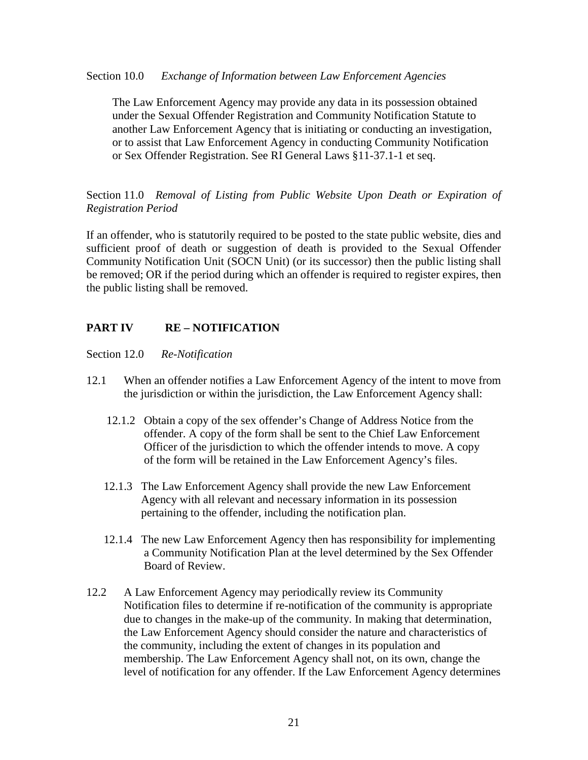Section 10.0 *Exchange of Information between Law Enforcement Agencies*

 The Law Enforcement Agency may provide any data in its possession obtained under the Sexual Offender Registration and Community Notification Statute to another Law Enforcement Agency that is initiating or conducting an investigation, or to assist that Law Enforcement Agency in conducting Community Notification or Sex Offender Registration. See RI General Laws §11-37.1-1 et seq.

Section 11.0 *Removal of Listing from Public Website Upon Death or Expiration of Registration Period*

If an offender, who is statutorily required to be posted to the state public website, dies and sufficient proof of death or suggestion of death is provided to the Sexual Offender Community Notification Unit (SOCN Unit) (or its successor) then the public listing shall be removed; OR if the period during which an offender is required to register expires, then the public listing shall be removed.

## **PART IV RE – NOTIFICATION**

Section 12.0 *Re-Notification*

- 12.1 When an offender notifies a Law Enforcement Agency of the intent to move from the jurisdiction or within the jurisdiction, the Law Enforcement Agency shall:
	- 12.1.2 Obtain a copy of the sex offender's Change of Address Notice from the offender. A copy of the form shall be sent to the Chief Law Enforcement Officer of the jurisdiction to which the offender intends to move. A copy of the form will be retained in the Law Enforcement Agency's files.
	- 12.1.3 The Law Enforcement Agency shall provide the new Law Enforcement Agency with all relevant and necessary information in its possession pertaining to the offender, including the notification plan.
	- 12.1.4 The new Law Enforcement Agency then has responsibility for implementing a Community Notification Plan at the level determined by the Sex Offender Board of Review.
- 12.2 A Law Enforcement Agency may periodically review its Community Notification files to determine if re-notification of the community is appropriate due to changes in the make-up of the community. In making that determination, the Law Enforcement Agency should consider the nature and characteristics of the community, including the extent of changes in its population and membership. The Law Enforcement Agency shall not, on its own, change the level of notification for any offender. If the Law Enforcement Agency determines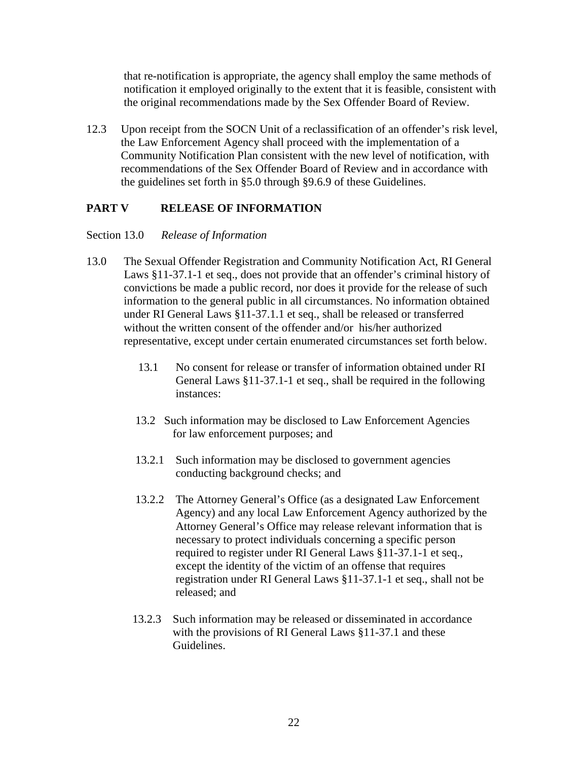that re-notification is appropriate, the agency shall employ the same methods of notification it employed originally to the extent that it is feasible, consistent with the original recommendations made by the Sex Offender Board of Review.

12.3 Upon receipt from the SOCN Unit of a reclassification of an offender's risk level, the Law Enforcement Agency shall proceed with the implementation of a Community Notification Plan consistent with the new level of notification, with recommendations of the Sex Offender Board of Review and in accordance with the guidelines set forth in §5.0 through §9.6.9 of these Guidelines.

## **PART V RELEASE OF INFORMATION**

## Section 13.0 *Release of Information*

- 13.0 The Sexual Offender Registration and Community Notification Act, RI General Laws §11-37.1-1 et seq., does not provide that an offender's criminal history of convictions be made a public record, nor does it provide for the release of such information to the general public in all circumstances. No information obtained under RI General Laws §11-37.1.1 et seq., shall be released or transferred without the written consent of the offender and/or his/her authorized representative, except under certain enumerated circumstances set forth below.
	- 13.1 No consent for release or transfer of information obtained under RI General Laws §11-37.1-1 et seq., shall be required in the following instances:
	- 13.2 Such information may be disclosed to Law Enforcement Agencies for law enforcement purposes; and
	- 13.2.1 Such information may be disclosed to government agencies conducting background checks; and
	- 13.2.2 The Attorney General's Office (as a designated Law Enforcement Agency) and any local Law Enforcement Agency authorized by the Attorney General's Office may release relevant information that is necessary to protect individuals concerning a specific person required to register under RI General Laws §11-37.1-1 et seq., except the identity of the victim of an offense that requires registration under RI General Laws §11-37.1-1 et seq., shall not be released; and
	- 13.2.3 Such information may be released or disseminated in accordance with the provisions of RI General Laws §11-37.1 and these Guidelines.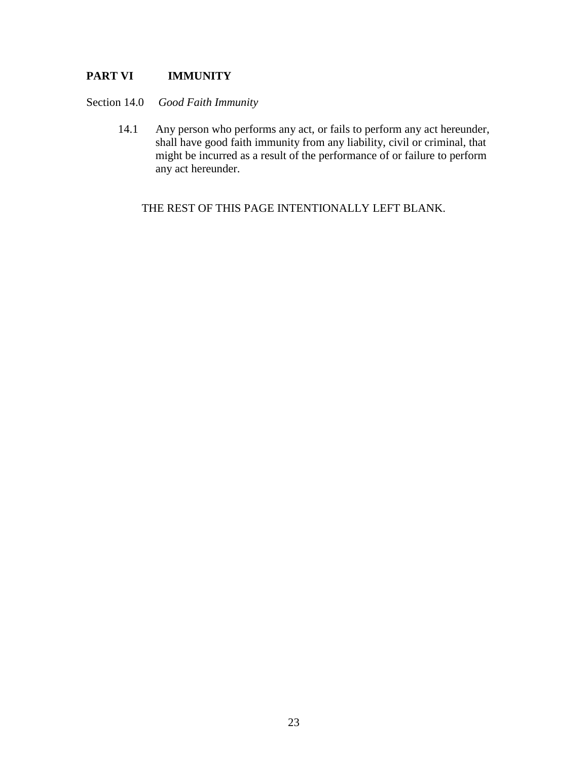## **PART VI IMMUNITY**

Section 14.0 *Good Faith Immunity*

 14.1 Any person who performs any act, or fails to perform any act hereunder, shall have good faith immunity from any liability, civil or criminal, that might be incurred as a result of the performance of or failure to perform any act hereunder.

THE REST OF THIS PAGE INTENTIONALLY LEFT BLANK.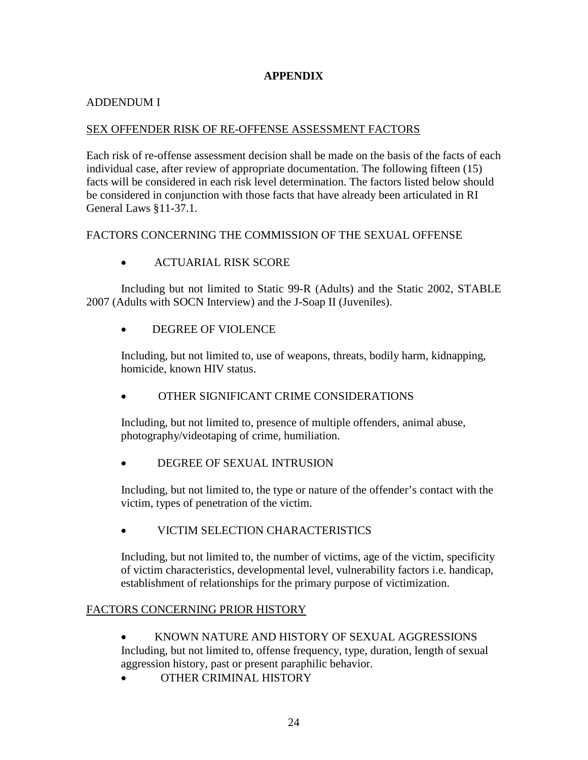## **APPENDIX**

## ADDENDUM I

## SEX OFFENDER RISK OF RE-OFFENSE ASSESSMENT FACTORS

Each risk of re-offense assessment decision shall be made on the basis of the facts of each individual case, after review of appropriate documentation. The following fifteen (15) facts will be considered in each risk level determination. The factors listed below should be considered in conjunction with those facts that have already been articulated in RI General Laws §11-37.1.

## FACTORS CONCERNING THE COMMISSION OF THE SEXUAL OFFENSE

• ACTUARIAL RISK SCORE

 Including but not limited to Static 99-R (Adults) and the Static 2002, STABLE 2007 (Adults with SOCN Interview) and the J-Soap II (Juveniles).

• DEGREE OF VIOLENCE

 Including, but not limited to, use of weapons, threats, bodily harm, kidnapping, homicide, known HIV status.

• OTHER SIGNIFICANT CRIME CONSIDERATIONS

 Including, but not limited to, presence of multiple offenders, animal abuse, photography/videotaping of crime, humiliation.

• DEGREE OF SEXUAL INTRUSION

 Including, but not limited to, the type or nature of the offender's contact with the victim, types of penetration of the victim.

• VICTIM SELECTION CHARACTERISTICS

 Including, but not limited to, the number of victims, age of the victim, specificity of victim characteristics, developmental level, vulnerability factors i.e. handicap, establishment of relationships for the primary purpose of victimization.

## FACTORS CONCERNING PRIOR HISTORY

• KNOWN NATURE AND HISTORY OF SEXUAL AGGRESSIONS

 Including, but not limited to, offense frequency, type, duration, length of sexual aggression history, past or present paraphilic behavior.

• OTHER CRIMINAL HISTORY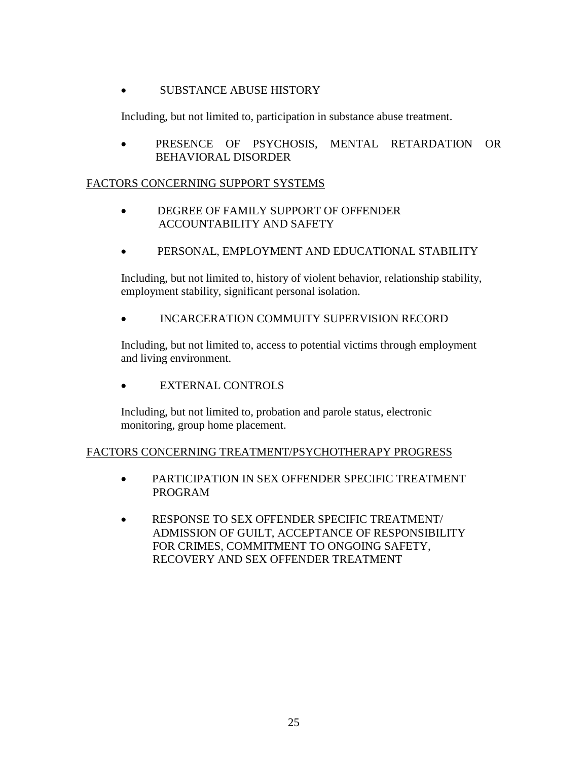## • SUBSTANCE ABUSE HISTORY

Including, but not limited to, participation in substance abuse treatment.

• PRESENCE OF PSYCHOSIS, MENTAL RETARDATION OR BEHAVIORAL DISORDER

## FACTORS CONCERNING SUPPORT SYSTEMS

- DEGREE OF FAMILY SUPPORT OF OFFENDER ACCOUNTABILITY AND SAFETY
- PERSONAL, EMPLOYMENT AND EDUCATIONAL STABILITY

 Including, but not limited to, history of violent behavior, relationship stability, employment stability, significant personal isolation.

• INCARCERATION COMMUITY SUPERVISION RECORD

 Including, but not limited to, access to potential victims through employment and living environment.

• EXTERNAL CONTROLS

Including, but not limited to, probation and parole status, electronic monitoring, group home placement.

## FACTORS CONCERNING TREATMENT/PSYCHOTHERAPY PROGRESS

- PARTICIPATION IN SEX OFFENDER SPECIFIC TREATMENT PROGRAM
- RESPONSE TO SEX OFFENDER SPECIFIC TREATMENT/ ADMISSION OF GUILT, ACCEPTANCE OF RESPONSIBILITY FOR CRIMES, COMMITMENT TO ONGOING SAFETY, RECOVERY AND SEX OFFENDER TREATMENT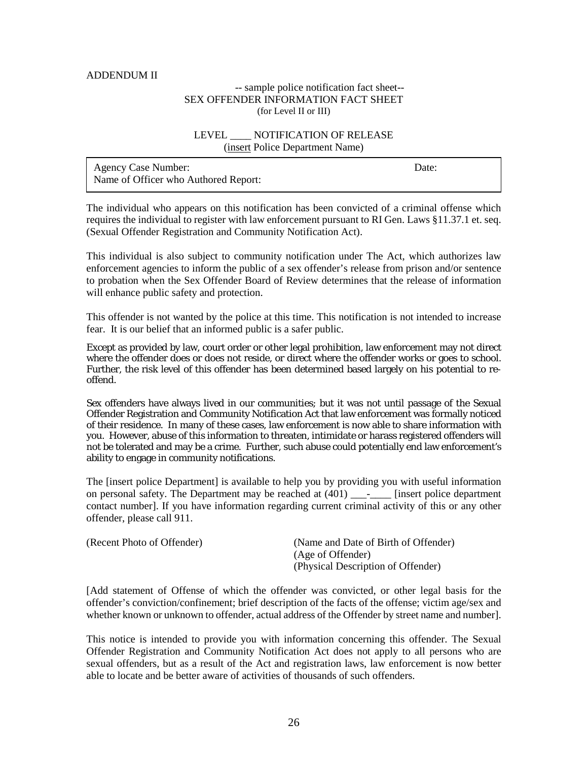#### ADDENDUM II

#### -- sample police notification fact sheet-- SEX OFFENDER INFORMATION FACT SHEET (for Level II or III)

#### LEVEL NOTIFICATION OF RELEASE (insert Police Department Name)

| <b>Agency Case Number:</b>           | Date: |
|--------------------------------------|-------|
| Name of Officer who Authored Report: |       |

The individual who appears on this notification has been convicted of a criminal offense which requires the individual to register with law enforcement pursuant to RI Gen. Laws §11.37.1 et. seq. (Sexual Offender Registration and Community Notification Act).

This individual is also subject to community notification under The Act, which authorizes law enforcement agencies to inform the public of a sex offender's release from prison and/or sentence to probation when the Sex Offender Board of Review determines that the release of information will enhance public safety and protection.

This offender is not wanted by the police at this time. This notification is not intended to increase fear. It is our belief that an informed public is a safer public.

Except as provided by law, court order or other legal prohibition, law enforcement may not direct where the offender does or does not reside, or direct where the offender works or goes to school. Further, the risk level of this offender has been determined based largely on his potential to reoffend.

Sex offenders have always lived in our communities; but it was not until passage of the Sexual Offender Registration and Community Notification Act that law enforcement was formally noticed of their residence. In many of these cases, law enforcement is now able to share information with you. However, abuse of this information to threaten, intimidate or harass registered offenders will not be tolerated and may be a crime. Further, such abuse could potentially end law enforcement's ability to engage in community notifications.

The [insert police Department] is available to help you by providing you with useful information on personal safety. The Department may be reached at (401) \_\_\_-\_\_\_\_ [insert police department contact number]. If you have information regarding current criminal activity of this or any other offender, please call 911.

| (Recent Photo of Offender) | (Name and Date of Birth of Offender) |
|----------------------------|--------------------------------------|
|                            | (Age of Offender)                    |
|                            | (Physical Description of Offender)   |

[Add statement of Offense of which the offender was convicted, or other legal basis for the offender's conviction/confinement; brief description of the facts of the offense; victim age/sex and whether known or unknown to offender, actual address of the Offender by street name and number].

This notice is intended to provide you with information concerning this offender. The Sexual Offender Registration and Community Notification Act does not apply to all persons who are sexual offenders, but as a result of the Act and registration laws, law enforcement is now better able to locate and be better aware of activities of thousands of such offenders.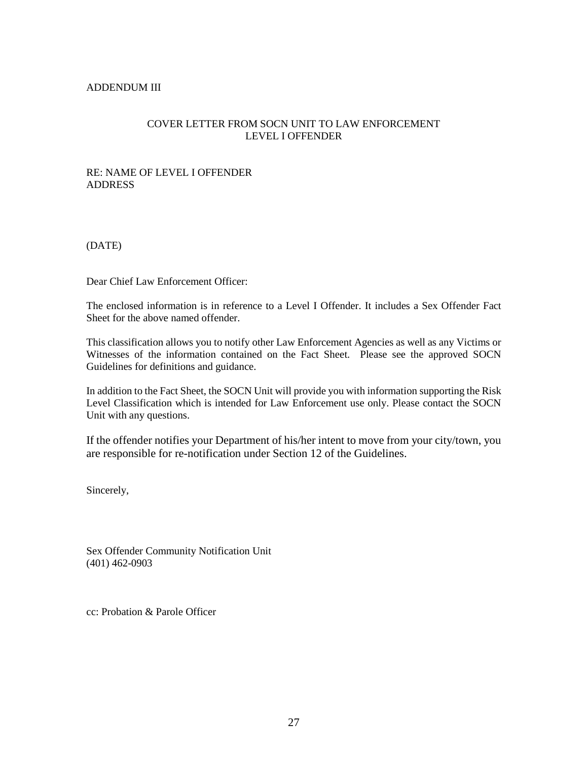#### ADDENDUM III

## COVER LETTER FROM SOCN UNIT TO LAW ENFORCEMENT LEVEL I OFFENDER

## RE: NAME OF LEVEL I OFFENDER ADDRESS

(DATE)

Dear Chief Law Enforcement Officer:

The enclosed information is in reference to a Level I Offender. It includes a Sex Offender Fact Sheet for the above named offender.

This classification allows you to notify other Law Enforcement Agencies as well as any Victims or Witnesses of the information contained on the Fact Sheet. Please see the approved SOCN Guidelines for definitions and guidance.

In addition to the Fact Sheet, the SOCN Unit will provide you with information supporting the Risk Level Classification which is intended for Law Enforcement use only. Please contact the SOCN Unit with any questions.

If the offender notifies your Department of his/her intent to move from your city/town, you are responsible for re-notification under Section 12 of the Guidelines.

Sincerely,

Sex Offender Community Notification Unit (401) 462-0903

cc: Probation & Parole Officer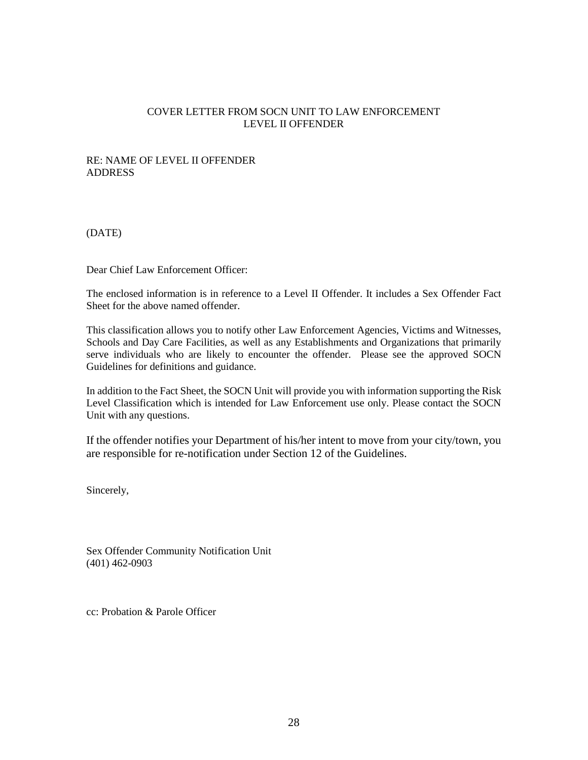## COVER LETTER FROM SOCN UNIT TO LAW ENFORCEMENT LEVEL II OFFENDER

#### RE: NAME OF LEVEL II OFFENDER ADDRESS

(DATE)

Dear Chief Law Enforcement Officer:

The enclosed information is in reference to a Level II Offender. It includes a Sex Offender Fact Sheet for the above named offender.

This classification allows you to notify other Law Enforcement Agencies, Victims and Witnesses, Schools and Day Care Facilities, as well as any Establishments and Organizations that primarily serve individuals who are likely to encounter the offender. Please see the approved SOCN Guidelines for definitions and guidance.

In addition to the Fact Sheet, the SOCN Unit will provide you with information supporting the Risk Level Classification which is intended for Law Enforcement use only. Please contact the SOCN Unit with any questions.

If the offender notifies your Department of his/her intent to move from your city/town, you are responsible for re-notification under Section 12 of the Guidelines.

Sincerely,

Sex Offender Community Notification Unit (401) 462-0903

cc: Probation & Parole Officer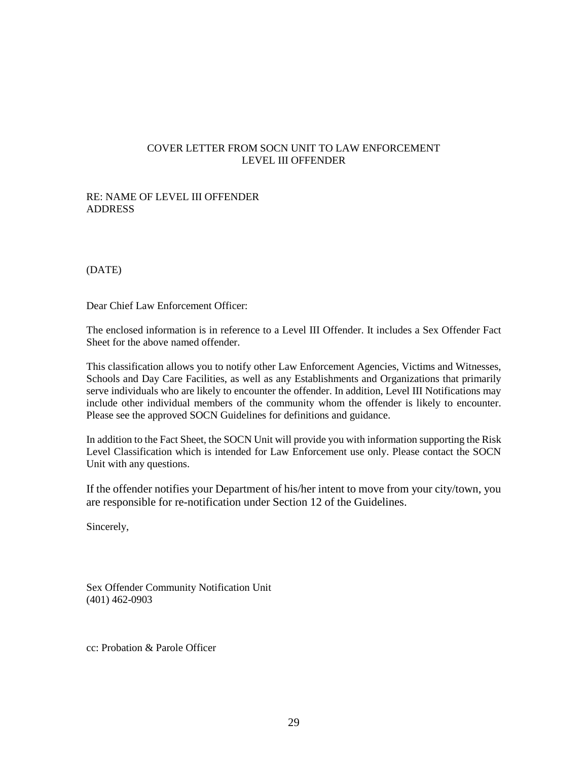#### COVER LETTER FROM SOCN UNIT TO LAW ENFORCEMENT LEVEL III OFFENDER

#### RE: NAME OF LEVEL III OFFENDER ADDRESS

(DATE)

Dear Chief Law Enforcement Officer:

The enclosed information is in reference to a Level III Offender. It includes a Sex Offender Fact Sheet for the above named offender.

This classification allows you to notify other Law Enforcement Agencies, Victims and Witnesses, Schools and Day Care Facilities, as well as any Establishments and Organizations that primarily serve individuals who are likely to encounter the offender. In addition, Level III Notifications may include other individual members of the community whom the offender is likely to encounter. Please see the approved SOCN Guidelines for definitions and guidance.

In addition to the Fact Sheet, the SOCN Unit will provide you with information supporting the Risk Level Classification which is intended for Law Enforcement use only. Please contact the SOCN Unit with any questions.

If the offender notifies your Department of his/her intent to move from your city/town, you are responsible for re-notification under Section 12 of the Guidelines.

Sincerely,

Sex Offender Community Notification Unit (401) 462-0903

cc: Probation & Parole Officer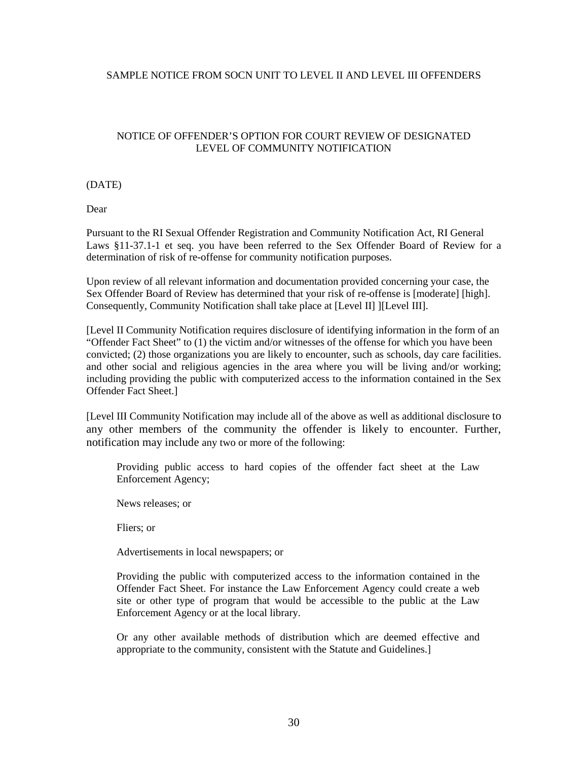#### SAMPLE NOTICE FROM SOCN UNIT TO LEVEL II AND LEVEL III OFFENDERS

## NOTICE OF OFFENDER'S OPTION FOR COURT REVIEW OF DESIGNATED LEVEL OF COMMUNITY NOTIFICATION

#### (DATE)

Dear

Pursuant to the RI Sexual Offender Registration and Community Notification Act, RI General Laws §11-37.1-1 et seq. you have been referred to the Sex Offender Board of Review for a determination of risk of re-offense for community notification purposes.

Upon review of all relevant information and documentation provided concerning your case, the Sex Offender Board of Review has determined that your risk of re-offense is [moderate] [high]. Consequently, Community Notification shall take place at [Level II] ][Level III].

[Level II Community Notification requires disclosure of identifying information in the form of an "Offender Fact Sheet" to (1) the victim and/or witnesses of the offense for which you have been convicted; (2) those organizations you are likely to encounter, such as schools, day care facilities. and other social and religious agencies in the area where you will be living and/or working; including providing the public with computerized access to the information contained in the Sex Offender Fact Sheet.]

[Level III Community Notification may include all of the above as well as additional disclosure to any other members of the community the offender is likely to encounter. Further, notification may include any two or more of the following:

Providing public access to hard copies of the offender fact sheet at the Law Enforcement Agency;

News releases; or

Fliers; or

Advertisements in local newspapers; or

Providing the public with computerized access to the information contained in the Offender Fact Sheet. For instance the Law Enforcement Agency could create a web site or other type of program that would be accessible to the public at the Law Enforcement Agency or at the local library.

Or any other available methods of distribution which are deemed effective and appropriate to the community, consistent with the Statute and Guidelines.]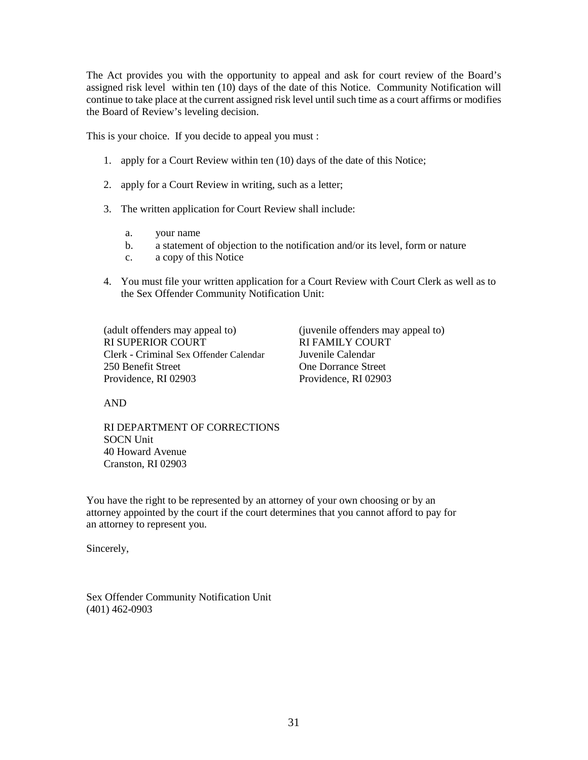The Act provides you with the opportunity to appeal and ask for court review of the Board's assigned risk level within ten (10) days of the date of this Notice. Community Notification will continue to take place at the current assigned risk level until such time as a court affirms or modifies the Board of Review's leveling decision.

This is your choice. If you decide to appeal you must :

- 1. apply for a Court Review within ten (10) days of the date of this Notice;
- 2. apply for a Court Review in writing, such as a letter;
- 3. The written application for Court Review shall include:
	- a. your name
	- b. a statement of objection to the notification and/or its level, form or nature
	- c. a copy of this Notice
- 4. You must file your written application for a Court Review with Court Clerk as well as to the Sex Offender Community Notification Unit:

(adult offenders may appeal to) (juvenile offenders may appeal to) RI SUPERIOR COURT RI FAMILY COURT Clerk - Criminal Sex Offender Calendar Juvenile Calendar 250 Benefit Street **One Dorrance Street** Providence, RI 02903 Providence, RI 02903

AND

RI DEPARTMENT OF CORRECTIONS SOCN Unit 40 Howard Avenue Cranston, RI 02903

You have the right to be represented by an attorney of your own choosing or by an attorney appointed by the court if the court determines that you cannot afford to pay for an attorney to represent you.

Sincerely,

Sex Offender Community Notification Unit (401) 462-0903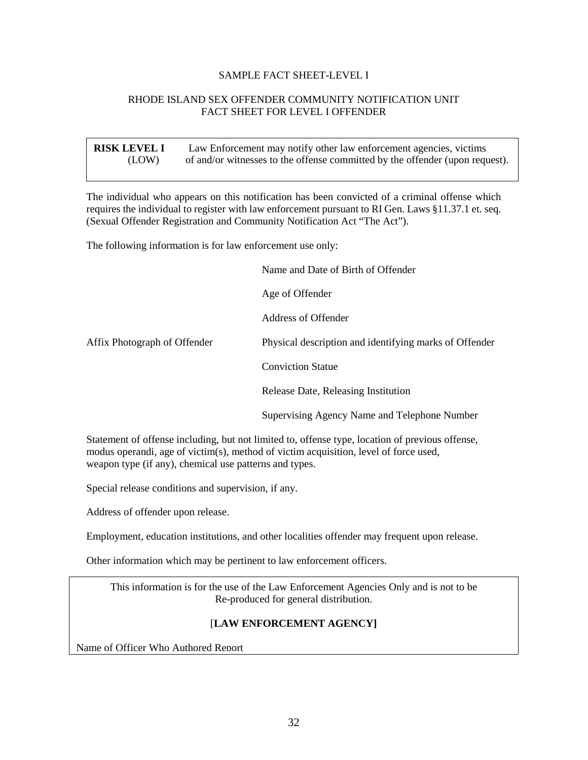#### SAMPLE FACT SHEET-LEVEL I

#### RHODE ISLAND SEX OFFENDER COMMUNITY NOTIFICATION UNIT FACT SHEET FOR LEVEL I OFFENDER

| <b>RISK LEVEL I</b> | Law Enforcement may notify other law enforcement agencies, victims           |
|---------------------|------------------------------------------------------------------------------|
| (LOW)               | of and/or witnesses to the offense committed by the offender (upon request). |

The individual who appears on this notification has been convicted of a criminal offense which requires the individual to register with law enforcement pursuant to RI Gen. Laws §11.37.1 et. seq. (Sexual Offender Registration and Community Notification Act "The Act").

The following information is for law enforcement use only:

|                              | Name and Date of Birth of Offender                     |
|------------------------------|--------------------------------------------------------|
|                              | Age of Offender                                        |
|                              | Address of Offender                                    |
| Affix Photograph of Offender | Physical description and identifying marks of Offender |
|                              | <b>Conviction Statue</b>                               |
|                              | Release Date, Releasing Institution                    |
|                              | Supervising Agency Name and Telephone Number           |

Statement of offense including, but not limited to, offense type, location of previous offense, modus operandi, age of victim(s), method of victim acquisition, level of force used, weapon type (if any), chemical use patterns and types.

Special release conditions and supervision, if any.

Address of offender upon release.

Employment, education institutions, and other localities offender may frequent upon release.

Other information which may be pertinent to law enforcement officers.

SAMPLE FACT SHEET – LEVEL II This information is for the use of the Law Enforcement Agencies Only and is not to be Re-produced for general distribution.

## [**LAW ENFORCEMENT AGENCY]**

Name of Officer Who Authored Report

Ï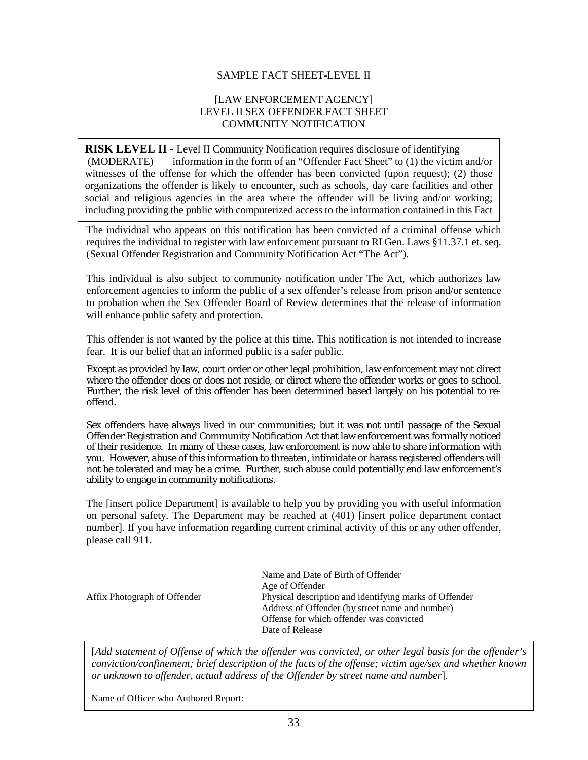#### SAMPLE FACT SHEET-LEVEL II

#### [LAW ENFORCEMENT AGENCY] LEVEL II SEX OFFENDER FACT SHEET COMMUNITY NOTIFICATION

**RISK LEVEL II -** Level II Community Notification requires disclosure of identifying (MODERATE) information in the form of an "Offender Fact Sheet" to (1) the victim and/or witnesses of the offense for which the offender has been convicted (upon request); (2) those organizations the offender is likely to encounter, such as schools, day care facilities and other social and religious agencies in the area where the offender will be living and/or working; including providing the public with computerized access to the information contained in this Fact

The individual who appears on this notification has been convicted of a criminal offense which requires the individual to register with law enforcement pursuant to RI Gen. Laws §11.37.1 et. seq. (Sexual Offender Registration and Community Notification Act "The Act").

This individual is also subject to community notification under The Act, which authorizes law enforcement agencies to inform the public of a sex offender's release from prison and/or sentence to probation when the Sex Offender Board of Review determines that the release of information will enhance public safety and protection.

This offender is not wanted by the police at this time. This notification is not intended to increase fear. It is our belief that an informed public is a safer public.

Except as provided by law, court order or other legal prohibition, law enforcement may not direct where the offender does or does not reside, or direct where the offender works or goes to school. Further, the risk level of this offender has been determined based largely on his potential to reoffend.

Sex offenders have always lived in our communities; but it was not until passage of the Sexual Offender Registration and Community Notification Act that law enforcement was formally noticed of their residence. In many of these cases, law enforcement is now able to share information with you. However, abuse of this information to threaten, intimidate or harass registered offenders will not be tolerated and may be a crime. Further, such abuse could potentially end law enforcement's ability to engage in community notifications.

The [insert police Department] is available to help you by providing you with useful information on personal safety. The Department may be reached at (401) [insert police department contact number]. If you have information regarding current criminal activity of this or any other offender, please call 911.

| Affix Photograph of Offender | Name and Date of Birth of Offender<br>Age of Offender<br>Physical description and identifying marks of Offender<br>Address of Offender (by street name and number)<br>Offense for which offender was convicted |
|------------------------------|----------------------------------------------------------------------------------------------------------------------------------------------------------------------------------------------------------------|
|                              | Date of Release                                                                                                                                                                                                |

[*Add statement of Offense of which the offender was convicted, or other legal basis for the offender's conviction/confinement; brief description of the facts of the offense; victim age/sex and whether known or unknown to offender, actual address of the Offender by street name and number*].

Name of Officer who Authored Report: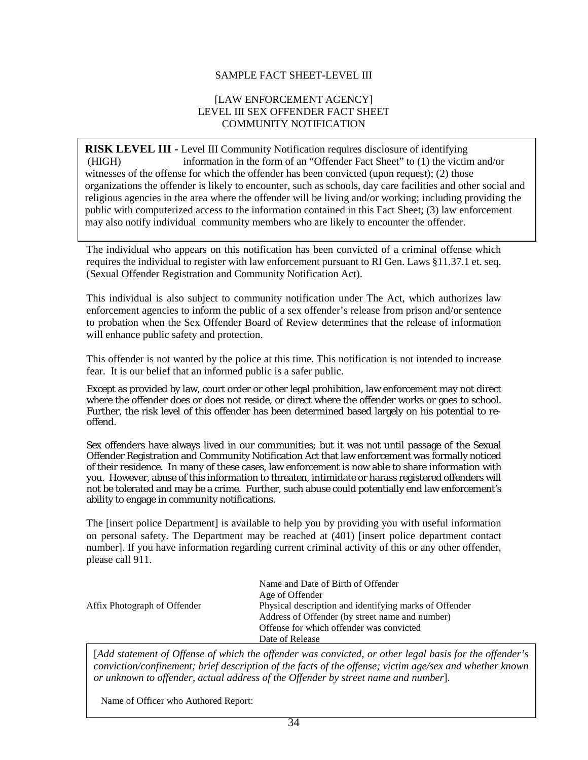## SAMPLE FACT SHEET-LEVEL III

#### [LAW ENFORCEMENT AGENCY] LEVEL III SEX OFFENDER FACT SHEET COMMUNITY NOTIFICATION

**RISK LEVEL III -** Level III Community Notification requires disclosure of identifying information in the form of an "Offender Fact Sheet" to  $(1)$  the victim and/or witnesses of the offense for which the offender has been convicted (upon request); (2) those organizations the offender is likely to encounter, such as schools, day care facilities and other social and religious agencies in the area where the offender will be living and/or working; including providing the public with computerized access to the information contained in this Fact Sheet; (3) law enforcement may also notify individual community members who are likely to encounter the offender.  $(HIGH)$ 

The individual who appears on this notification has been convicted of a criminal offense which requires the individual to register with law enforcement pursuant to RI Gen. Laws §11.37.1 et. seq. (Sexual Offender Registration and Community Notification Act).

This individual is also subject to community notification under The Act, which authorizes law enforcement agencies to inform the public of a sex offender's release from prison and/or sentence to probation when the Sex Offender Board of Review determines that the release of information will enhance public safety and protection.

This offender is not wanted by the police at this time. This notification is not intended to increase fear. It is our belief that an informed public is a safer public.

Except as provided by law, court order or other legal prohibition, law enforcement may not direct where the offender does or does not reside, or direct where the offender works or goes to school. Further, the risk level of this offender has been determined based largely on his potential to reoffend.

Sex offenders have always lived in our communities; but it was not until passage of the Sexual Offender Registration and Community Notification Act that law enforcement was formally noticed of their residence. In many of these cases, law enforcement is now able to share information with you. However, abuse of this information to threaten, intimidate or harass registered offenders will not be tolerated and may be a crime. Further, such abuse could potentially end law enforcement's ability to engage in community notifications.

The [insert police Department] is available to help you by providing you with useful information on personal safety. The Department may be reached at (401) [insert police department contact number]. If you have information regarding current criminal activity of this or any other offender, please call 911.

|                              | Name and Date of Birth of Offender<br>Age of Offender  |
|------------------------------|--------------------------------------------------------|
| Affix Photograph of Offender | Physical description and identifying marks of Offender |
|                              | Address of Offender (by street name and number)        |
|                              | Offense for which offender was convicted               |
|                              | Date of Release                                        |

or unknown to offender, actual address of the Offender by street name and number]. [*Add statement of Offense of which the offender was convicted, or other legal basis for the offender's conviction/confinement; brief description of the facts of the offense; victim age/sex and whether known* 

Name of Officer who Authored Report: